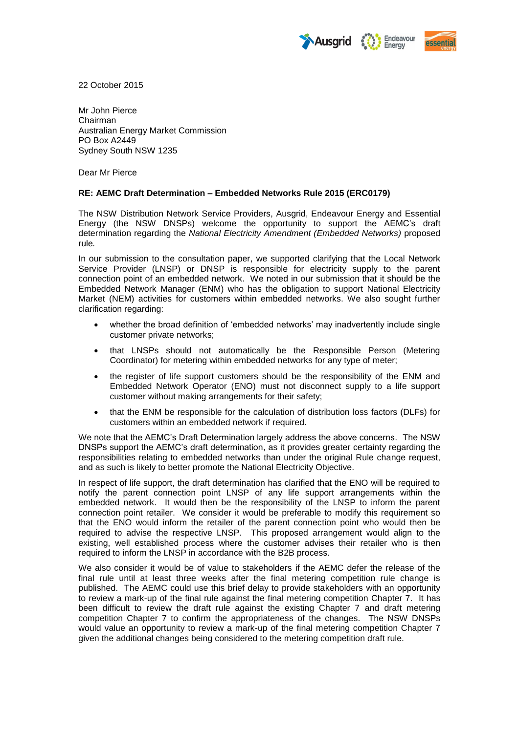



22 October 2015

Mr John Pierce Chairman Australian Energy Market Commission PO Box A2449 Sydney South NSW 1235

Dear Mr Pierce

## **RE: AEMC Draft Determination – Embedded Networks Rule 2015 (ERC0179)**

The NSW Distribution Network Service Providers, Ausgrid, Endeavour Energy and Essential Energy (the NSW DNSPs) welcome the opportunity to support the AEMC's draft determination regarding the *National Electricity Amendment (Embedded Networks)* proposed rule*.*

In our submission to the consultation paper, we supported clarifying that the Local Network Service Provider (LNSP) or DNSP is responsible for electricity supply to the parent connection point of an embedded network. We noted in our submission that it should be the Embedded Network Manager (ENM) who has the obligation to support National Electricity Market (NEM) activities for customers within embedded networks. We also sought further clarification regarding:

- whether the broad definition of 'embedded networks' may inadvertently include single customer private networks;
- that LNSPs should not automatically be the Responsible Person (Metering Coordinator) for metering within embedded networks for any type of meter;
- the register of life support customers should be the responsibility of the ENM and Embedded Network Operator (ENO) must not disconnect supply to a life support customer without making arrangements for their safety;
- that the ENM be responsible for the calculation of distribution loss factors (DLFs) for customers within an embedded network if required.

We note that the AEMC's Draft Determination largely address the above concerns. The NSW DNSPs support the AEMC's draft determination, as it provides greater certainty regarding the responsibilities relating to embedded networks than under the original Rule change request, and as such is likely to better promote the National Electricity Objective.

In respect of life support, the draft determination has clarified that the ENO will be required to notify the parent connection point LNSP of any life support arrangements within the embedded network. It would then be the responsibility of the LNSP to inform the parent connection point retailer. We consider it would be preferable to modify this requirement so that the ENO would inform the retailer of the parent connection point who would then be required to advise the respective LNSP. This proposed arrangement would align to the existing, well established process where the customer advises their retailer who is then required to inform the LNSP in accordance with the B2B process.

We also consider it would be of value to stakeholders if the AEMC defer the release of the final rule until at least three weeks after the final metering competition rule change is published. The AEMC could use this brief delay to provide stakeholders with an opportunity to review a mark-up of the final rule against the final metering competition Chapter 7. It has been difficult to review the draft rule against the existing Chapter 7 and draft metering competition Chapter 7 to confirm the appropriateness of the changes. The NSW DNSPs would value an opportunity to review a mark-up of the final metering competition Chapter 7 given the additional changes being considered to the metering competition draft rule.